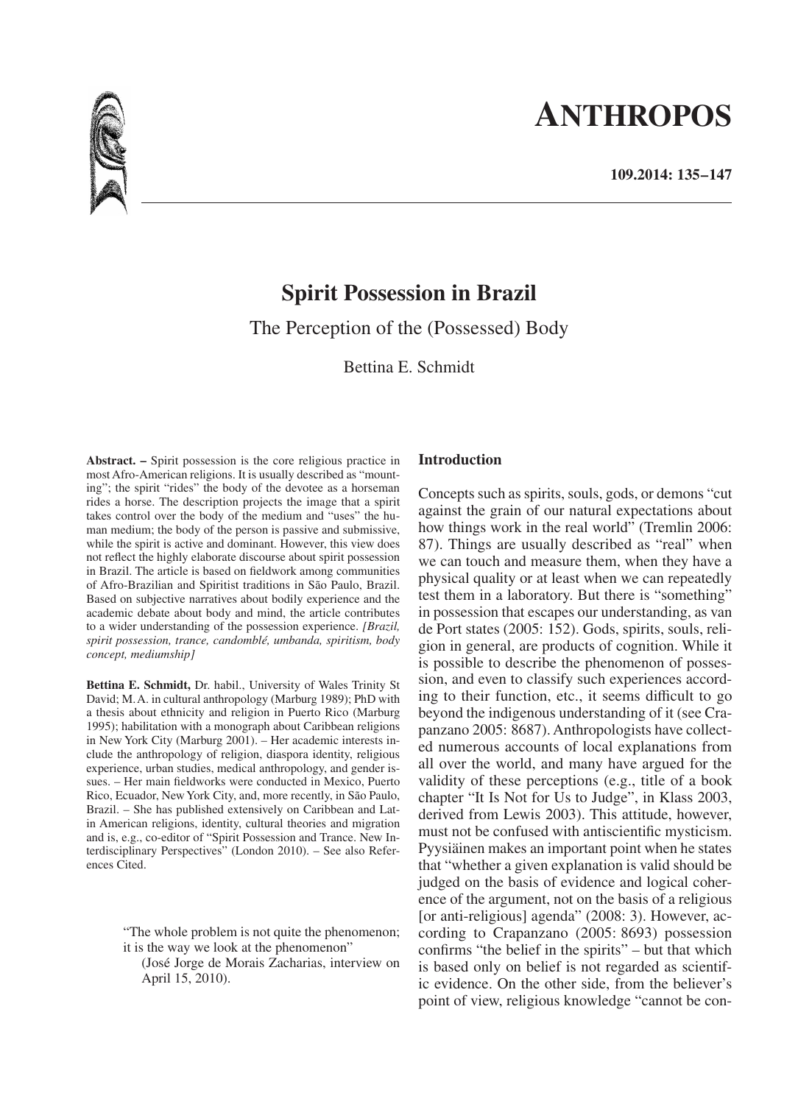# **ANTHROPOS**



# **Spirit Possession in Brazil**

The Perception of the (Possessed) Body

Bettina E. Schmidt

**Abstract. –** Spirit possession is the core religious practice in most Afro-American religions. It is usually described as "mounting"; the spirit "rides" the body of the devotee as a horseman rides a horse. The description projects the image that a spirit takes control over the body of the medium and "uses" the human medium; the body of the person is passive and submissive, while the spirit is active and dominant. However, this view does not reflect the highly elaborate discourse about spirit possession in Brazil. The article is based on fieldwork among communities of Afro-Brazilian and Spiritist traditions in São Paulo, Brazil. Based on subjective narratives about bodily experience and the academic debate about body and mind, the article contributes to a wider understanding of the possession experience. *[Brazil, spirit possession, trance, candomblé, umbanda, spiritism, body concept, mediumship]*

**Bettina E. Schmidt,** Dr. habil., University of Wales Trinity St David; M.A. in cultural anthropology (Marburg 1989); PhD with a thesis about ethnicity and religion in Puerto Rico (Marburg 1995); habilitation with a monograph about Caribbean religions in New York City (Marburg 2001). – Her academic interests include the anthropology of religion, diaspora identity, religious experience, urban studies, medical anthropology, and gender issues. – Her main fieldworks were conducted in Mexico, Puerto Rico, Ecuador, New York City, and, more recently, in São Paulo, Brazil. – She has published extensively on Caribbean and Latin American religions, identity, cultural theories and migration and is, e.g., co-editor of "Spirit Possession and Trance. New Interdisciplinary Perspectives" (London 2010). – See also References Cited.

> "The whole problem is not quite the phenomenon; it is the way we look at the phenomenon"

(José Jorge de Morais Zacharias, interview on April 15, 2010).

# **Introduction**

Concepts such as spirits, souls, gods, or demons "cut against the grain of our natural expectations about how things work in the real world" (Tremlin 2006: 87). Things are usually described as "real" when we can touch and measure them, when they have a physical quality or at least when we can repeatedly test them in a laboratory. But there is "something" in possession that escapes our understanding, as van de Port states (2005: 152). Gods, spirits, souls, religion in general, are products of cognition. While it is possible to describe the phenomenon of possession, and even to classify such experiences according to their function, etc., it seems difficult to go beyond the indigenous understanding of it (see Crapanzano 2005: 8687). Anthropologists have collected numerous accounts of local explanations from all over the world, and many have argued for the validity of these perceptions (e.g., title of a book chapter "It Is Not for Us to Judge", in Klass 2003, derived from Lewis 2003). This attitude, however, must not be confused with antiscientific mysticism. Pyysiäinen makes an important point when he states that "whether a given explanation is valid should be judged on the basis of evidence and logical coherence of the argument, not on the basis of a religious [or anti-religious] agenda" (2008: 3). However, according to Crapanzano (2005: 8693) possession confirms "the belief in the spirits" – but that which is based only on belief is not regarded as scientific evidence. On the other side, from the believer's point of view, religious knowledge "cannot be con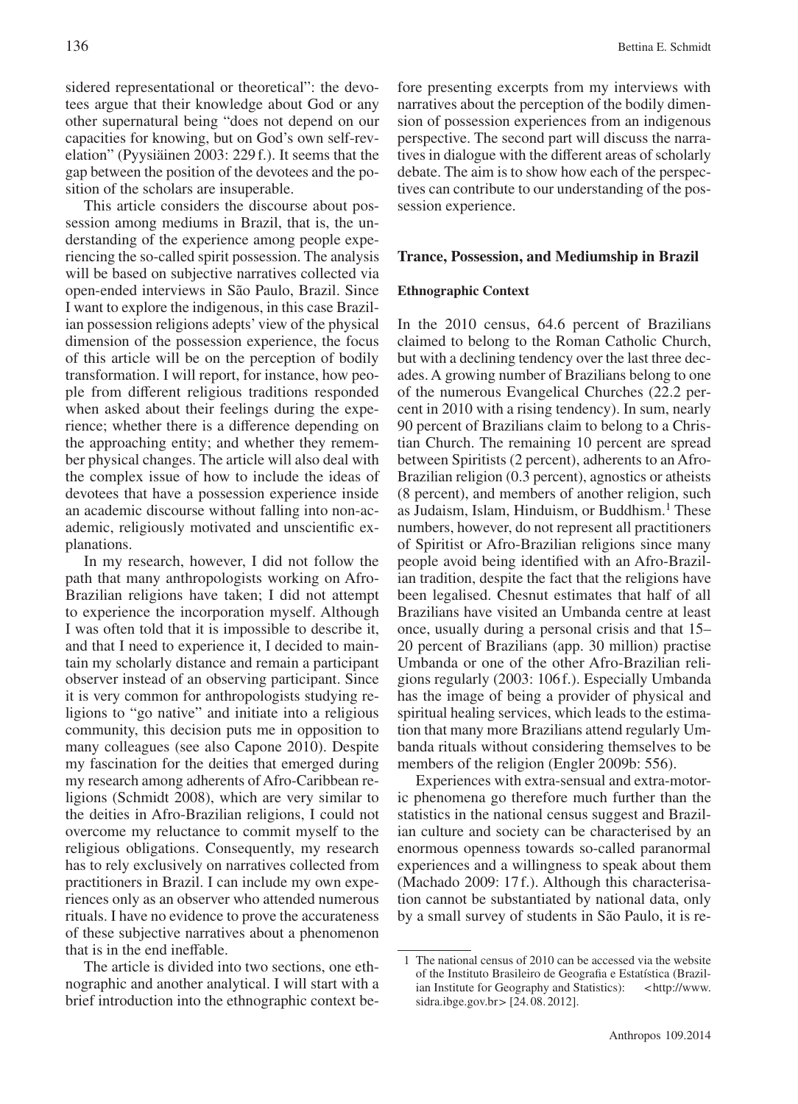sidered representational or theoretical": the devotees argue that their knowledge about God or any other supernatural being "does not depend on our capacities for knowing, but on God's own self-revelation" (Pyysiäinen 2003: 229f.). It seems that the gap between the position of the devotees and the position of the scholars are insuperable.

This article considers the discourse about possession among mediums in Brazil, that is, the understanding of the experience among people experiencing the so-called spirit possession. The analysis will be based on subjective narratives collected via open-ended interviews in São Paulo, Brazil. Since I want to explore the indigenous, in this case Brazilian possession religions adepts' view of the physical dimension of the possession experience, the focus of this article will be on the perception of bodily transformation. I will report, for instance, how people from different religious traditions responded when asked about their feelings during the experience; whether there is a difference depending on the approaching entity; and whether they remember physical changes. The article will also deal with the complex issue of how to include the ideas of devotees that have a possession experience inside an academic discourse without falling into non-academic, religiously motivated and unscientific explanations.

In my research, however, I did not follow the path that many anthropologists working on Afro-Brazilian religions have taken; I did not attempt to experience the incorporation myself. Although I was often told that it is impossible to describe it, and that I need to experience it, I decided to maintain my scholarly distance and remain a participant observer instead of an observing participant. Since it is very common for anthropologists studying religions to "go native" and initiate into a religious community, this decision puts me in opposition to many colleagues (see also Capone 2010). Despite my fascination for the deities that emerged during my research among adherents of Afro-Caribbean religions (Schmidt 2008), which are very similar to the deities in Afro-Brazilian religions, I could not overcome my reluctance to commit myself to the religious obligations. Consequently, my research has to rely exclusively on narratives collected from practitioners in Brazil. I can include my own experiences only as an observer who attended numerous rituals. I have no evidence to prove the accurateness of these subjective narratives about a phenomenon that is in the end ineffable.

The article is divided into two sections, one ethnographic and another analytical. I will start with a brief introduction into the ethnographic context be-

fore presenting excerpts from my interviews with narratives about the perception of the bodily dimension of possession experiences from an indigenous perspective. The second part will discuss the narratives in dialogue with the different areas of scholarly debate. The aim is to show how each of the perspectives can contribute to our understanding of the possession experience.

#### **Trance, Possession, and Mediumship in Brazil**

### **Ethnographic Context**

In the 2010 census, 64.6 percent of Brazilians claimed to belong to the Roman Catholic Church, but with a declining tendency over the last three decades. A growing number of Brazilians belong to one of the numerous Evangelical Churches (22.2 percent in 2010 with a rising tendency). In sum, nearly 90 percent of Brazilians claim to belong to a Christian Church. The remaining 10 percent are spread between Spiritists (2 percent), adherents to an Afro-Brazilian religion (0.3 percent), agnostics or atheists (8 percent), and members of another religion, such as Judaism, Islam, Hinduism, or Buddhism.1 These numbers, however, do not represent all practitioners of Spiritist or Afro-Brazilian religions since many people avoid being identified with an Afro-Brazilian tradition, despite the fact that the religions have been legalised. Chesnut estimates that half of all Brazilians have visited an Umbanda centre at least once, usually during a personal crisis and that 15– 20 percent of Brazilians (app. 30 million) practise Umbanda or one of the other Afro-Brazilian religions regularly (2003: 106f.). Especially Umbanda has the image of being a provider of physical and spiritual healing services, which leads to the estimation that many more Brazilians attend regularly Umbanda rituals without considering themselves to be members of the religion (Engler 2009b: 556).

Experiences with extra-sensual and extra-motoric phenomena go therefore much further than the statistics in the national census suggest and Brazilian culture and society can be characterised by an enormous openness towards so-called paranormal experiences and a willingness to speak about them (Machado 2009: 17f.). Although this characterisation cannot be substantiated by national data, only by a small survey of students in São Paulo, it is re-

<sup>1</sup> The national census of 2010 can be accessed via the website of the Instituto Brasileiro de Geografia e Estatística (Brazilian Institute for Geography and Statistics): <http://www. sidra.ibge.gov.br> [24. 08. 2012].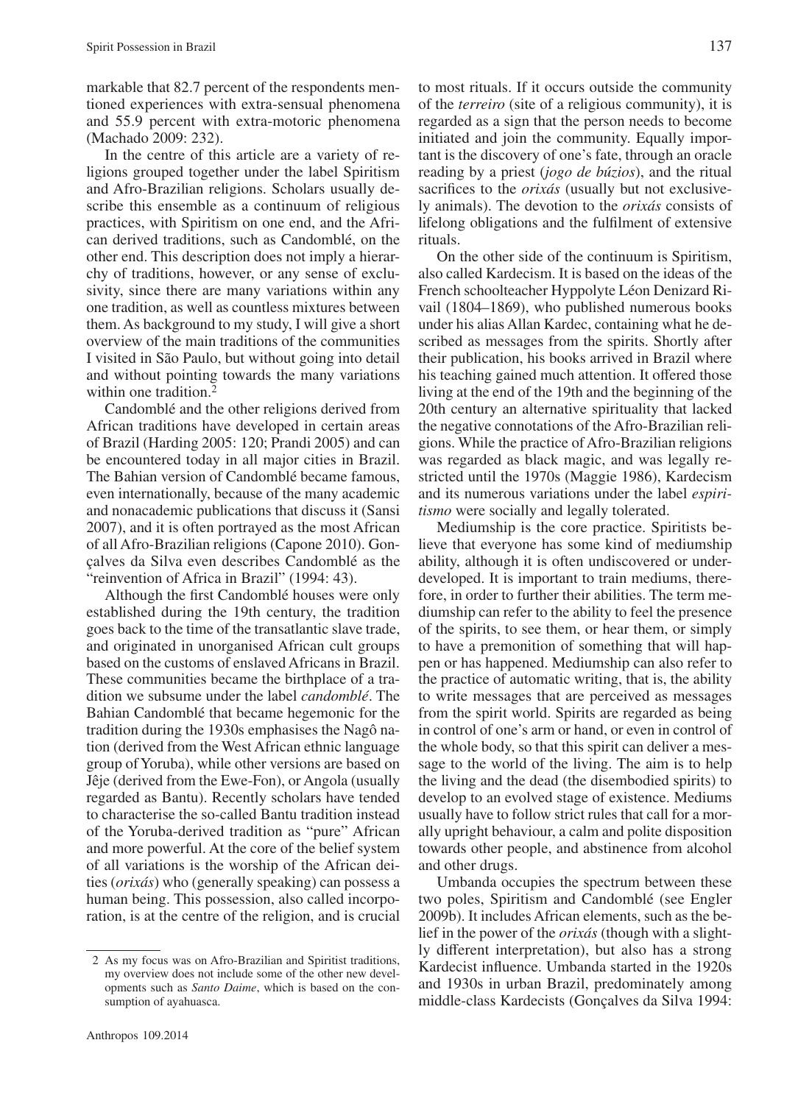markable that 82.7 percent of the respondents mentioned experiences with extra-sensual phenomena and 55.9 percent with extra-motoric phenomena (Machado 2009: 232).

In the centre of this article are a variety of religions grouped together under the label Spiritism and Afro-Brazilian religions. Scholars usually describe this ensemble as a continuum of religious practices, with Spiritism on one end, and the African derived traditions, such as Candomblé, on the other end. This description does not imply a hierarchy of traditions, however, or any sense of exclusivity, since there are many variations within any one tradition, as well as countless mixtures between them. As background to my study, I will give a short overview of the main traditions of the communities I visited in São Paulo, but without going into detail and without pointing towards the many variations within one tradition.<sup>2</sup>

Candomblé and the other religions derived from African traditions have developed in certain areas of Brazil (Harding 2005: 120; Prandi 2005) and can be encountered today in all major cities in Brazil. The Bahian version of Candomblé became famous, even internationally, because of the many academic and nonacademic publications that discuss it (Sansi 2007), and it is often portrayed as the most African of all Afro-Brazilian religions (Capone 2010). Gonçalves da Silva even describes Candomblé as the "reinvention of Africa in Brazil" (1994: 43).

Although the first Candomblé houses were only established during the 19th century, the tradition goes back to the time of the transatlantic slave trade, and originated in unorganised African cult groups based on the customs of enslaved Africans in Brazil. These communities became the birthplace of a tradition we subsume under the label *candomblé*. The Bahian Candomblé that became hegemonic for the tradition during the 1930s emphasises the Nagô nation (derived from the West African ethnic language group of Yoruba), while other versions are based on Jêje (derived from the Ewe-Fon), or Angola (usually regarded as Bantu). Recently scholars have tended to characterise the so-called Bantu tradition instead of the Yoruba-derived tradition as "pure" African and more powerful. At the core of the belief system of all variations is the worship of the African deities (*orixás*) who (generally speaking) can possess a human being. This possession, also called incorporation, is at the centre of the religion, and is crucial

to most rituals. If it occurs outside the community of the *terreiro* (site of a religious community), it is regarded as a sign that the person needs to become initiated and join the community. Equally important is the discovery of one's fate, through an oracle reading by a priest (*jogo de búzios*), and the ritual sacrifices to the *orixás* (usually but not exclusively animals). The devotion to the *orixás* consists of lifelong obligations and the fulfilment of extensive rituals.

On the other side of the continuum is Spiritism, also called Kardecism. It is based on the ideas of the French schoolteacher Hyppolyte Léon Denizard Rivail (1804–1869), who published numerous books under his alias Allan Kardec, containing what he described as messages from the spirits. Shortly after their publication, his books arrived in Brazil where his teaching gained much attention. It offered those living at the end of the 19th and the beginning of the 20th century an alternative spirituality that lacked the negative connotations of the Afro-Brazilian religions. While the practice of Afro-Brazilian religions was regarded as black magic, and was legally restricted until the 1970s (Maggie 1986), Kardecism and its numerous variations under the label *espiritismo* were socially and legally tolerated.

Mediumship is the core practice. Spiritists believe that everyone has some kind of mediumship ability, although it is often undiscovered or underdeveloped. It is important to train mediums, therefore, in order to further their abilities. The term mediumship can refer to the ability to feel the presence of the spirits, to see them, or hear them, or simply to have a premonition of something that will happen or has happened. Mediumship can also refer to the practice of automatic writing, that is, the ability to write messages that are perceived as messages from the spirit world. Spirits are regarded as being in control of one's arm or hand, or even in control of the whole body, so that this spirit can deliver a message to the world of the living. The aim is to help the living and the dead (the disembodied spirits) to develop to an evolved stage of existence. Mediums usually have to follow strict rules that call for a morally upright behaviour, a calm and polite disposition towards other people, and abstinence from alcohol and other drugs.

Umbanda occupies the spectrum between these two poles, Spiritism and Candomblé (see Engler 2009b). It includes African elements, such as the belief in the power of the *orixás* (though with a slightly different interpretation), but also has a strong Kardecist influence. Umbanda started in the 1920s and 1930s in urban Brazil, predominately among middle-class Kardecists (Gonçalves da Silva 1994:

<sup>2</sup> As my focus was on Afro-Brazilian and Spiritist traditions, my overview does not include some of the other new developments such as *Santo Daime*, which is based on the consumption of ayahuasca.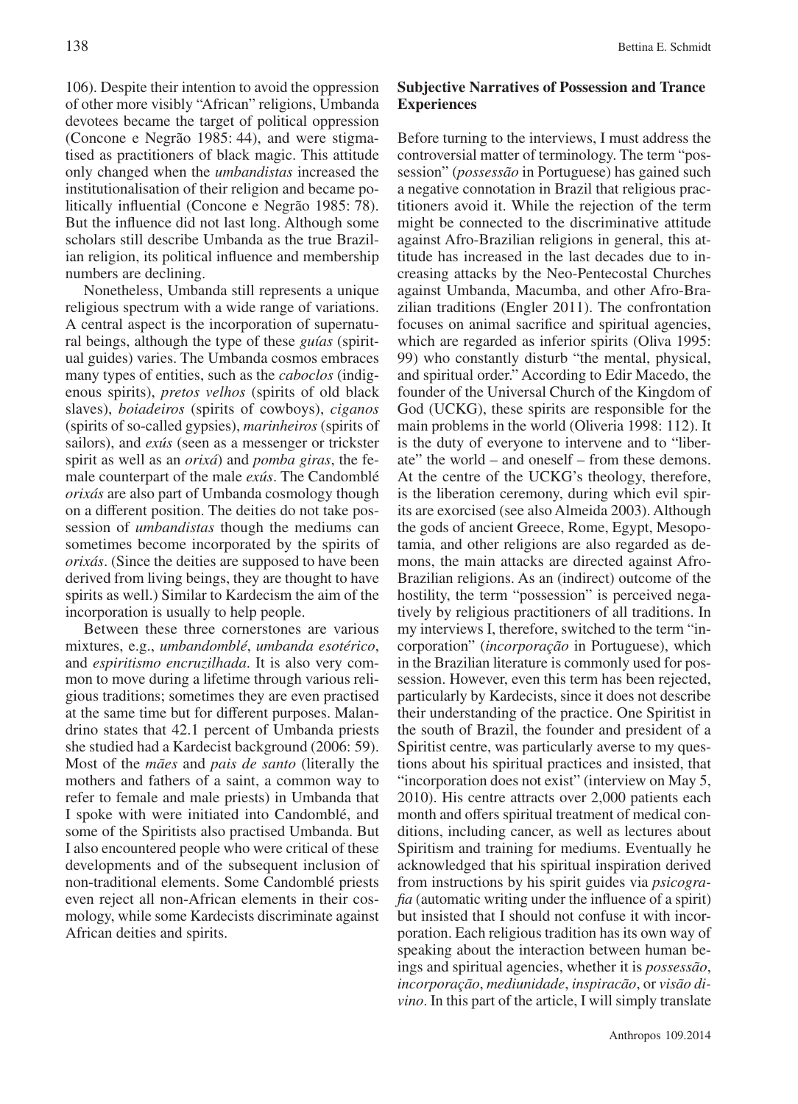106). Despite their intention to avoid the oppression of other more visibly "African" religions, Umbanda devotees became the target of political oppression (Concone e Negrão 1985: 44), and were stigmatised as practitioners of black magic. This attitude only changed when the *umbandistas* increased the institutionalisation of their religion and became politically influential (Concone e Negrão 1985: 78). But the influence did not last long. Although some scholars still describe Umbanda as the true Brazilian religion, its political influence and membership numbers are declining.

Nonetheless, Umbanda still represents a unique religious spectrum with a wide range of variations. A central aspect is the incorporation of supernatural beings, although the type of these *guías* (spiritual guides) varies. The Umbanda cosmos embraces many types of entities, such as the *caboclos* (indigenous spirits), *pretos velhos* (spirits of old black slaves), *boiadeiros* (spirits of cowboys), *ciganos* (spirits of so-called gypsies), *marinheiros* (spirits of sailors), and *exús* (seen as a messenger or trickster spirit as well as an *orixá*) and *pomba giras*, the female counterpart of the male *exús*. The Candomblé *orixás* are also part of Umbanda cosmology though on a different position. The deities do not take possession of *umbandistas* though the mediums can sometimes become incorporated by the spirits of *orixás*. (Since the deities are supposed to have been derived from living beings, they are thought to have spirits as well.) Similar to Kardecism the aim of the incorporation is usually to help people.

Between these three cornerstones are various mixtures, e.g., *umbandomblé*, *umbanda esotérico*, and *espiritismo encruzilhada*. It is also very common to move during a lifetime through various religious traditions; sometimes they are even practised at the same time but for different purposes. Malandrino states that 42.1 percent of Umbanda priests she studied had a Kardecist background (2006: 59). Most of the *mães* and *pais de santo* (literally the mothers and fathers of a saint, a common way to refer to female and male priests) in Umbanda that I spoke with were initiated into Candomblé, and some of the Spiritists also practised Umbanda. But I also encountered people who were critical of these developments and of the subsequent inclusion of non-traditional elements. Some Candomblé priests even reject all non-African elements in their cosmology, while some Kardecists discriminate against African deities and spirits.

# **Subjective Narratives of Possession and Trance Experiences**

Before turning to the interviews, I must address the controversial matter of terminology. The term "possession" (*possessão* in Portuguese) has gained such a negative connotation in Brazil that religious practitioners avoid it. While the rejection of the term might be connected to the discriminative attitude against Afro-Brazilian religions in general, this attitude has increased in the last decades due to increasing attacks by the Neo-Pentecostal Churches against Umbanda, Macumba, and other Afro-Brazilian traditions (Engler 2011). The confrontation focuses on animal sacrifice and spiritual agencies, which are regarded as inferior spirits (Oliva 1995: 99) who constantly disturb "the mental, physical, and spiritual order." According to Edir Macedo, the founder of the Universal Church of the Kingdom of God (UCKG), these spirits are responsible for the main problems in the world (Oliveria 1998: 112). It is the duty of everyone to intervene and to "liberate" the world – and oneself – from these demons. At the centre of the UCKG's theology, therefore, is the liberation ceremony, during which evil spirits are exorcised (see also Almeida 2003). Although the gods of ancient Greece, Rome, Egypt, Mesopotamia, and other religions are also regarded as demons, the main attacks are directed against Afro-Brazilian religions. As an (indirect) outcome of the hostility, the term "possession" is perceived negatively by religious practitioners of all traditions. In my interviews I, therefore, switched to the term "incorporation" (*incorporação* in Portuguese), which in the Brazilian literature is commonly used for possession. However, even this term has been rejected, particularly by Kardecists, since it does not describe their understanding of the practice. One Spiritist in the south of Brazil, the founder and president of a Spiritist centre, was particularly averse to my questions about his spiritual practices and insisted, that "incorporation does not exist" (interview on May 5, 2010). His centre attracts over 2,000 patients each month and offers spiritual treatment of medical conditions, including cancer, as well as lectures about Spiritism and training for mediums. Eventually he acknowledged that his spiritual inspiration derived from instructions by his spirit guides via *psicografia* (automatic writing under the influence of a spirit) but insisted that I should not confuse it with incorporation. Each religious tradition has its own way of speaking about the interaction between human beings and spiritual agencies, whether it is *possessão*, *incorporação*, *mediunidade*, *inspiracão*, or *visão divino*. In this part of the article, I will simply translate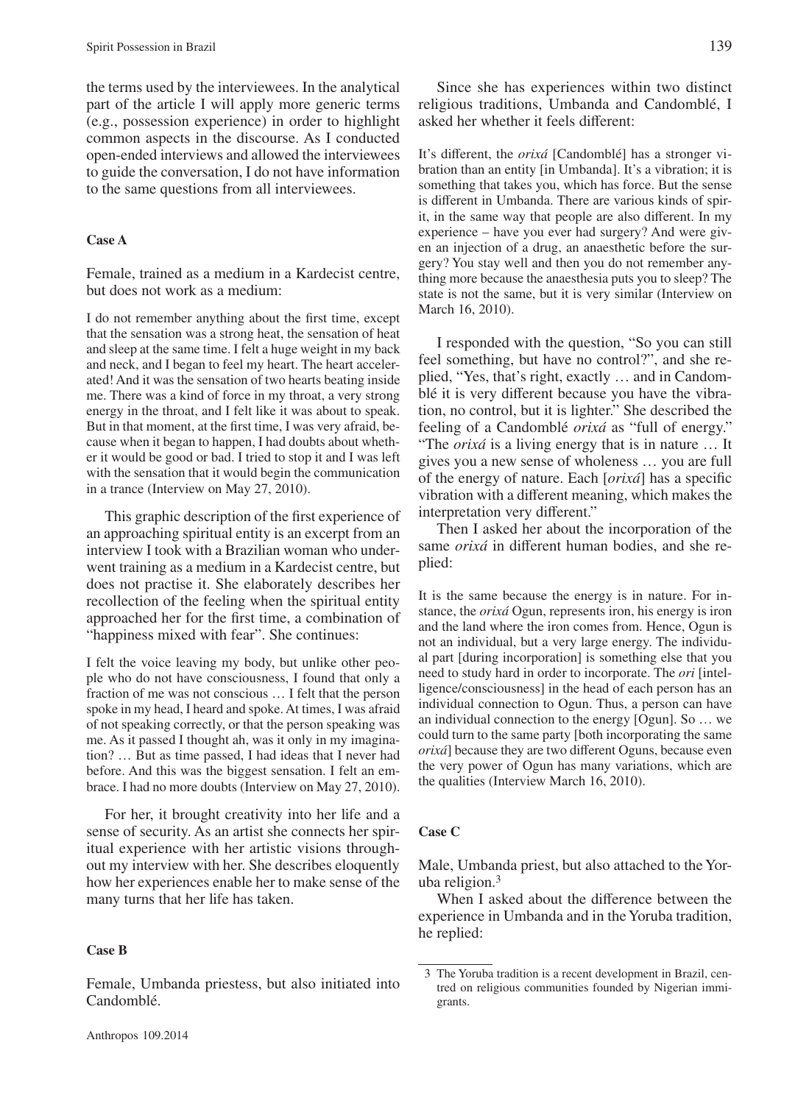the terms used by the interviewees. In the analytical part of the article I will apply more generic terms (e.g., possession experience) in order to highlight common aspects in the discourse. As I conducted open-ended interviews and allowed the interviewees to guide the conversation, I do not have information to the same questions from all interviewees.

# **Case A**

Female, trained as a medium in a Kardecist centre, but does not work as a medium:

I do not remember anything about the first time, except that the sensation was a strong heat, the sensation of heat and sleep at the same time. I felt a huge weight in my back and neck, and I began to feel my heart. The heart accelerated! And it was the sensation of two hearts beating inside me. There was a kind of force in my throat, a very strong energy in the throat, and I felt like it was about to speak. But in that moment, at the first time, I was very afraid, because when it began to happen, I had doubts about whether it would be good or bad. I tried to stop it and I was left with the sensation that it would begin the communication in a trance (Interview on May 27, 2010).

This graphic description of the first experience of an approaching spiritual entity is an excerpt from an interview I took with a Brazilian woman who underwent training as a medium in a Kardecist centre, but does not practise it. She elaborately describes her recollection of the feeling when the spiritual entity approached her for the first time, a combination of "happiness mixed with fear". She continues:

I felt the voice leaving my body, but unlike other people who do not have consciousness, I found that only a fraction of me was not conscious … I felt that the person spoke in my head, I heard and spoke. At times, I was afraid of not speaking correctly, or that the person speaking was me. As it passed I thought ah, was it only in my imagination? … But as time passed, I had ideas that I never had before. And this was the biggest sensation. I felt an embrace. I had no more doubts (Interview on May 27, 2010).

For her, it brought creativity into her life and a sense of security. As an artist she connects her spiritual experience with her artistic visions throughout my interview with her. She describes eloquently how her experiences enable her to make sense of the many turns that her life has taken.

## **Case B**

Female, Umbanda priestess, but also initiated into Candomblé.

It's different, the *orixá* [Candomblé] has a stronger vibration than an entity [in Umbanda]. It's a vibration; it is something that takes you, which has force. But the sense is different in Umbanda. There are various kinds of spirit, in the same way that people are also different. In my experience – have you ever had surgery? And were given an injection of a drug, an anaesthetic before the surgery? You stay well and then you do not remember anything more because the anaesthesia puts you to sleep? The state is not the same, but it is very similar (Interview on March 16, 2010).

I responded with the question, "So you can still feel something, but have no control?", and she replied, "Yes, that's right, exactly … and in Candomblé it is very different because you have the vibration, no control, but it is lighter." She described the feeling of a Candomblé *orixá* as "full of energy." "The *orixá* is a living energy that is in nature … It gives you a new sense of wholeness … you are full of the energy of nature. Each [*orixá*] has a specific vibration with a different meaning, which makes the interpretation very different."

Then I asked her about the incorporation of the same *orixá* in different human bodies, and she replied:

It is the same because the energy is in nature. For instance, the *orixá* Ogun, represents iron, his energy is iron and the land where the iron comes from. Hence, Ogun is not an individual, but a very large energy. The individual part [during incorporation] is something else that you need to study hard in order to incorporate. The *ori* [intelligence/consciousness] in the head of each person has an individual connection to Ogun. Thus, a person can have an individual connection to the energy [Ogun]. So … we could turn to the same party [both incorporating the same *orixá*] because they are two different Oguns, because even the very power of Ogun has many variations, which are the qualities (Interview March 16, 2010).

# **Case C**

Male, Umbanda priest, but also attached to the Yoruba religion.3

When I asked about the difference between the experience in Umbanda and in the Yoruba tradition, he replied:

<sup>3</sup> The Yoruba tradition is a recent development in Brazil, centred on religious communities founded by Nigerian immigrants.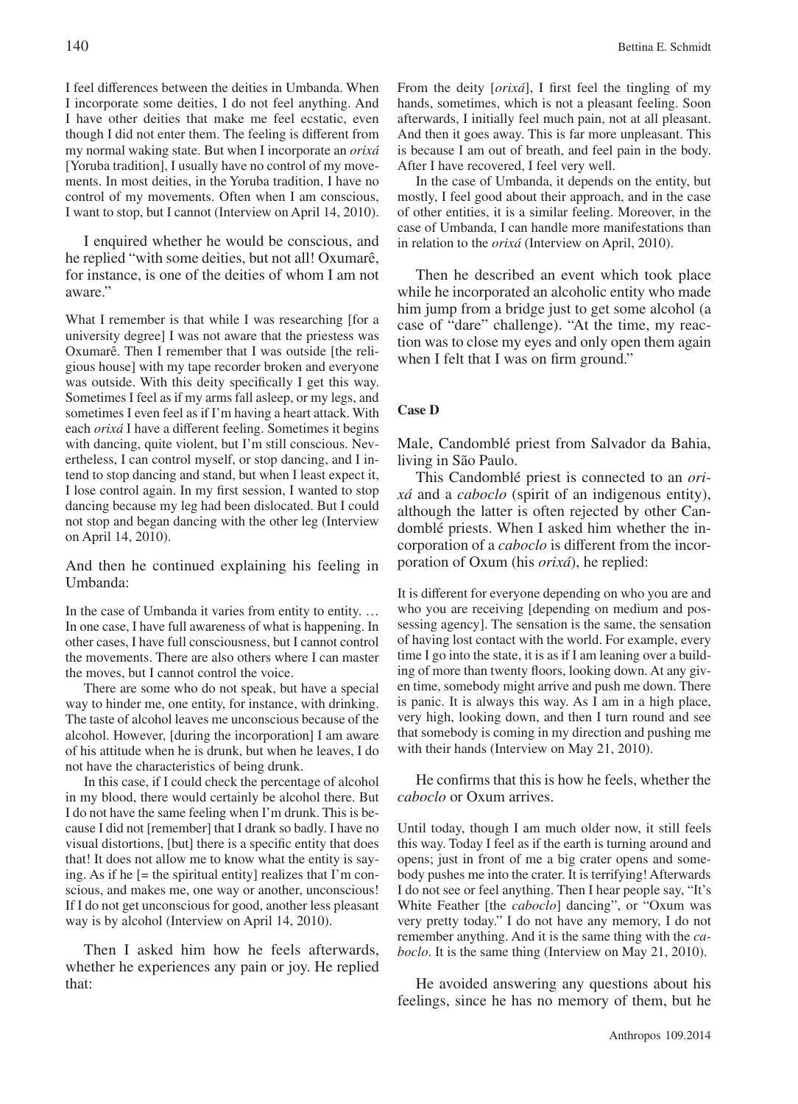I feel differences between the deities in Umbanda. When I incorporate some deities, I do not feel anything. And I have other deities that make me feel ecstatic, even though I did not enter them. The feeling is different from my normal waking state. But when I incorporate an *orixá*  [Yoruba tradition], I usually have no control of my movements. In most deities, in the Yoruba tradition, I have no control of my movements. Often when I am conscious, I want to stop, but I cannot (Interview on April 14, 2010).

I enquired whether he would be conscious, and he replied "with some deities, but not all! Oxumarê, for instance, is one of the deities of whom I am not aware."

What I remember is that while I was researching [for a university degree] I was not aware that the priestess was Oxumarê. Then I remember that I was outside [the religious house] with my tape recorder broken and everyone was outside. With this deity specifically I get this way. Sometimes I feel as if my arms fall asleep, or my legs, and sometimes I even feel as if I'm having a heart attack. With each *orixá* I have a different feeling. Sometimes it begins with dancing, quite violent, but I'm still conscious. Nevertheless, I can control myself, or stop dancing, and I intend to stop dancing and stand, but when I least expect it, I lose control again. In my first session, I wanted to stop dancing because my leg had been dislocated. But I could not stop and began dancing with the other leg (Interview on April 14, 2010).

And then he continued explaining his feeling in Umbanda:

In the case of Umbanda it varies from entity to entity... In one case, I have full awareness of what is happening. In other cases, I have full consciousness, but I cannot control the movements. There are also others where I can master the moves, but I cannot control the voice.

There are some who do not speak, but have a special way to hinder me, one entity, for instance, with drinking. The taste of alcohol leaves me unconscious because of the alcohol. However, [during the incorporation] I am aware of his attitude when he is drunk, but when he leaves, I do not have the characteristics of being drunk.

In this case, if I could check the percentage of alcohol in my blood, there would certainly be alcohol there. But I do not have the same feeling when I'm drunk. This is because I did not [remember] that I drank so badly. I have no visual distortions, [but] there is a specific entity that does that! It does not allow me to know what the entity is saying. As if he [= the spiritual entity] realizes that I'm conscious, and makes me, one way or another, unconscious! If I do not get unconscious for good, another less pleasant way is by alcohol (Interview on April 14, 2010).

Then I asked him how he feels afterwards, whether he experiences any pain or joy. He replied that:

From the deity [*orixá*], I first feel the tingling of my hands, sometimes, which is not a pleasant feeling. Soon afterwards, I initially feel much pain, not at all pleasant. And then it goes away. This is far more unpleasant. This is because I am out of breath, and feel pain in the body. After I have recovered, I feel very well.

In the case of Umbanda, it depends on the entity, but mostly, I feel good about their approach, and in the case of other entities, it is a similar feeling. Moreover, in the case of Umbanda, I can handle more manifestations than in relation to the *orixá* (Interview on April, 2010).

Then he described an event which took place while he incorporated an alcoholic entity who made him jump from a bridge just to get some alcohol (a case of "dare" challenge). "At the time, my reaction was to close my eyes and only open them again when I felt that I was on firm ground."

### **Case D**

Male, Candomblé priest from Salvador da Bahia, living in São Paulo.

This Candomblé priest is connected to an *orixá* and a *caboclo* (spirit of an indigenous entity), although the latter is often rejected by other Candomblé priests. When I asked him whether the incorporation of a *caboclo* is different from the incorporation of Oxum (his *orixá*), he replied:

It is different for everyone depending on who you are and who you are receiving [depending on medium and possessing agency]. The sensation is the same, the sensation of having lost contact with the world. For example, every time I go into the state, it is as if I am leaning over a building of more than twenty floors, looking down. At any given time, somebody might arrive and push me down. There is panic. It is always this way. As I am in a high place, very high, looking down, and then I turn round and see that somebody is coming in my direction and pushing me with their hands (Interview on May 21, 2010).

He confirms that this is how he feels, whether the *caboclo* or Oxum arrives.

Until today, though I am much older now, it still feels this way. Today I feel as if the earth is turning around and opens; just in front of me a big crater opens and somebody pushes me into the crater. It is terrifying! Afterwards I do not see or feel anything. Then I hear people say, "It's White Feather [the *caboclo*] dancing", or "Oxum was very pretty today." I do not have any memory, I do not remember anything. And it is the same thing with the *caboclo*. It is the same thing (Interview on May 21, 2010).

He avoided answering any questions about his feelings, since he has no memory of them, but he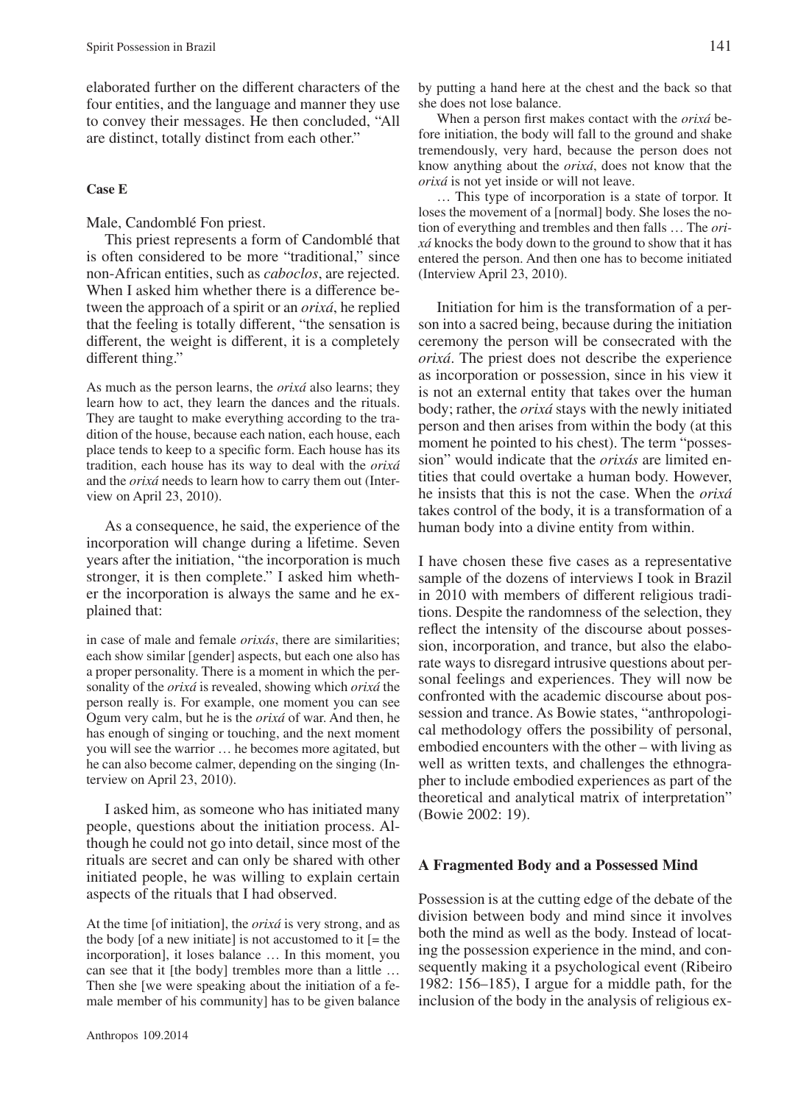elaborated further on the different characters of the four entities, and the language and manner they use to convey their messages. He then concluded, "All are distinct, totally distinct from each other."

# **Case E**

Male, Candomblé Fon priest.

This priest represents a form of Candomblé that is often considered to be more "traditional," since non-African entities, such as *caboclos*, are rejected. When I asked him whether there is a difference between the approach of a spirit or an *orixá*, he replied that the feeling is totally different, "the sensation is different, the weight is different, it is a completely different thing."

As much as the person learns, the *orixá* also learns; they learn how to act, they learn the dances and the rituals. They are taught to make everything according to the tradition of the house, because each nation, each house, each place tends to keep to a specific form. Each house has its tradition, each house has its way to deal with the *orixá* and the *orixá* needs to learn how to carry them out (Interview on April 23, 2010).

As a consequence, he said, the experience of the incorporation will change during a lifetime. Seven years after the initiation, "the incorporation is much stronger, it is then complete." I asked him whether the incorporation is always the same and he explained that:

in case of male and female *orixás*, there are similarities; each show similar [gender] aspects, but each one also has a proper personality. There is a moment in which the personality of the *orixá* is revealed, showing which *orixá* the person really is. For example, one moment you can see Ogum very calm, but he is the *orixá* of war. And then, he has enough of singing or touching, and the next moment you will see the warrior … he becomes more agitated, but he can also become calmer, depending on the singing (Interview on April 23, 2010).

I asked him, as someone who has initiated many people, questions about the initiation process. Although he could not go into detail, since most of the rituals are secret and can only be shared with other initiated people, he was willing to explain certain aspects of the rituals that I had observed.

At the time [of initiation], the *orixá* is very strong, and as the body [of a new initiate] is not accustomed to it  $[=$  the incorporation], it loses balance … In this moment, you can see that it [the body] trembles more than a little … Then she [we were speaking about the initiation of a female member of his community] has to be given balance

When a person first makes contact with the *orixá* before initiation, the body will fall to the ground and shake tremendously, very hard, because the person does not know anything about the *orixá*, does not know that the *orixá* is not yet inside or will not leave.

… This type of incorporation is a state of torpor. It loses the movement of a [normal] body. She loses the notion of everything and trembles and then falls … The *orixá* knocks the body down to the ground to show that it has entered the person. And then one has to become initiated (Interview April 23, 2010).

Initiation for him is the transformation of a person into a sacred being, because during the initiation ceremony the person will be consecrated with the *orixá*. The priest does not describe the experience as incorporation or possession, since in his view it is not an external entity that takes over the human body; rather, the *orixá* stays with the newly initiated person and then arises from within the body (at this moment he pointed to his chest). The term "possession" would indicate that the *orixás* are limited entities that could overtake a human body. However, he insists that this is not the case. When the *orixá* takes control of the body, it is a transformation of a human body into a divine entity from within.

I have chosen these five cases as a representative sample of the dozens of interviews I took in Brazil in 2010 with members of different religious traditions. Despite the randomness of the selection, they reflect the intensity of the discourse about possession, incorporation, and trance, but also the elaborate ways to disregard intrusive questions about personal feelings and experiences. They will now be confronted with the academic discourse about possession and trance. As Bowie states, "anthropological methodology offers the possibility of personal, embodied encounters with the other – with living as well as written texts, and challenges the ethnographer to include embodied experiences as part of the theoretical and analytical matrix of interpretation" (Bowie 2002: 19).

# **A Fragmented Body and a Possessed Mind**

Possession is at the cutting edge of the debate of the division between body and mind since it involves both the mind as well as the body. Instead of locating the possession experience in the mind, and consequently making it a psychological event (Ribeiro 1982: 156–185), I argue for a middle path, for the inclusion of the body in the analysis of religious ex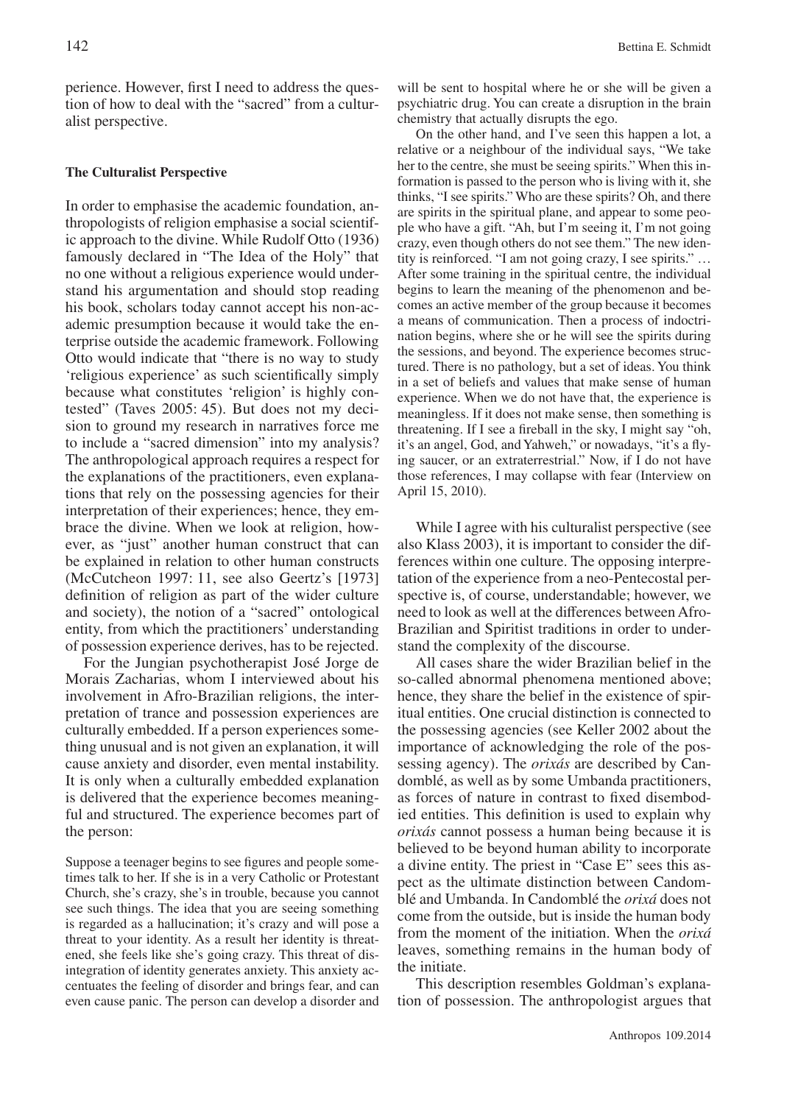perience. However, first I need to address the question of how to deal with the "sacred" from a culturalist perspective.

## **The Culturalist Perspective**

In order to emphasise the academic foundation, anthropologists of religion emphasise a social scientific approach to the divine. While Rudolf Otto (1936) famously declared in "The Idea of the Holy" that no one without a religious experience would understand his argumentation and should stop reading his book, scholars today cannot accept his non-academic presumption because it would take the enterprise outside the academic framework. Following Otto would indicate that "there is no way to study 'religious experience' as such scientifically simply because what constitutes 'religion' is highly contested" (Taves 2005: 45). But does not my decision to ground my research in narratives force me to include a "sacred dimension" into my analysis? The anthropological approach requires a respect for the explanations of the practitioners, even explanations that rely on the possessing agencies for their interpretation of their experiences; hence, they embrace the divine. When we look at religion, however, as "just" another human construct that can be explained in relation to other human constructs (McCutcheon 1997: 11, see also Geertz's [1973] definition of religion as part of the wider culture and society), the notion of a "sacred" ontological entity, from which the practitioners' understanding of possession experience derives, has to be rejected.

For the Jungian psychotherapist José Jorge de Morais Zacharias, whom I interviewed about his involvement in Afro-Brazilian religions, the interpretation of trance and possession experiences are culturally embedded. If a person experiences something unusual and is not given an explanation, it will cause anxiety and disorder, even mental instability. It is only when a culturally embedded explanation is delivered that the experience becomes meaningful and structured. The experience becomes part of the person:

Suppose a teenager begins to see figures and people sometimes talk to her. If she is in a very Catholic or Protestant Church, she's crazy, she's in trouble, because you cannot see such things. The idea that you are seeing something is regarded as a hallucination; it's crazy and will pose a threat to your identity. As a result her identity is threatened, she feels like she's going crazy. This threat of disintegration of identity generates anxiety. This anxiety accentuates the feeling of disorder and brings fear, and can even cause panic. The person can develop a disorder and will be sent to hospital where he or she will be given a psychiatric drug. You can create a disruption in the brain chemistry that actually disrupts the ego.

On the other hand, and I've seen this happen a lot, a relative or a neighbour of the individual says, "We take her to the centre, she must be seeing spirits." When this information is passed to the person who is living with it, she thinks, "I see spirits." Who are these spirits? Oh, and there are spirits in the spiritual plane, and appear to some people who have a gift. "Ah, but I'm seeing it, I'm not going crazy, even though others do not see them." The new identity is reinforced. "I am not going crazy, I see spirits." … After some training in the spiritual centre, the individual begins to learn the meaning of the phenomenon and becomes an active member of the group because it becomes a means of communication. Then a process of indoctrination begins, where she or he will see the spirits during the sessions, and beyond. The experience becomes structured. There is no pathology, but a set of ideas. You think in a set of beliefs and values that make sense of human experience. When we do not have that, the experience is meaningless. If it does not make sense, then something is threatening. If I see a fireball in the sky, I might say "oh, it's an angel, God, and Yahweh," or nowadays, "it's a flying saucer, or an extraterrestrial." Now, if I do not have those references, I may collapse with fear (Interview on April 15, 2010).

While I agree with his culturalist perspective (see also Klass 2003), it is important to consider the differences within one culture. The opposing interpretation of the experience from a neo-Pentecostal perspective is, of course, understandable; however, we need to look as well at the differences between Afro-Brazilian and Spiritist traditions in order to understand the complexity of the discourse.

All cases share the wider Brazilian belief in the so-called abnormal phenomena mentioned above; hence, they share the belief in the existence of spiritual entities. One crucial distinction is connected to the possessing agencies (see Keller 2002 about the importance of acknowledging the role of the possessing agency). The *orixás* are described by Candomblé, as well as by some Umbanda practitioners, as forces of nature in contrast to fixed disembodied entities. This definition is used to explain why *orixás* cannot possess a human being because it is believed to be beyond human ability to incorporate a divine entity. The priest in "Case E" sees this aspect as the ultimate distinction between Candomblé and Umbanda. In Candomblé the *orixá* does not come from the outside, but is inside the human body from the moment of the initiation. When the *orixá* leaves, something remains in the human body of the initiate.

This description resembles Goldman's explanation of possession. The anthropologist argues that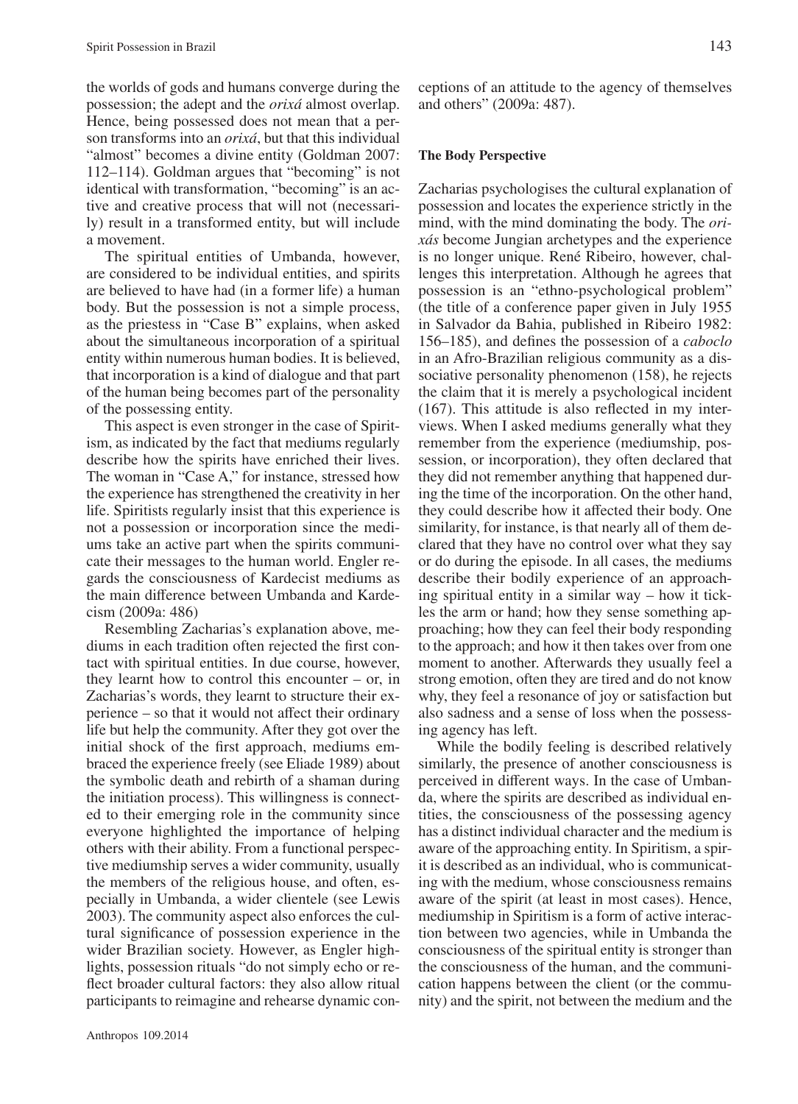the worlds of gods and humans converge during the possession; the adept and the *orixá* almost overlap. Hence, being possessed does not mean that a person transforms into an *orixá*, but that this individual "almost" becomes a divine entity (Goldman 2007: 112–114). Goldman argues that "becoming" is not identical with transformation, "becoming" is an active and creative process that will not (necessarily) result in a transformed entity, but will include a movement.

The spiritual entities of Umbanda, however, are considered to be individual entities, and spirits are believed to have had (in a former life) a human body. But the possession is not a simple process, as the priestess in "Case B" explains, when asked about the simultaneous incorporation of a spiritual entity within numerous human bodies. It is believed, that incorporation is a kind of dialogue and that part of the human being becomes part of the personality of the possessing entity.

This aspect is even stronger in the case of Spiritism, as indicated by the fact that mediums regularly describe how the spirits have enriched their lives. The woman in "Case A," for instance, stressed how the experience has strengthened the creativity in her life. Spiritists regularly insist that this experience is not a possession or incorporation since the mediums take an active part when the spirits communicate their messages to the human world. Engler regards the consciousness of Kardecist mediums as the main difference between Umbanda and Kardecism (2009a: 486)

Resembling Zacharias's explanation above, mediums in each tradition often rejected the first contact with spiritual entities. In due course, however, they learnt how to control this encounter – or, in Zacharias's words, they learnt to structure their experience – so that it would not affect their ordinary life but help the community. After they got over the initial shock of the first approach, mediums embraced the experience freely (see Eliade 1989) about the symbolic death and rebirth of a shaman during the initiation process). This willingness is connected to their emerging role in the community since everyone highlighted the importance of helping others with their ability. From a functional perspective mediumship serves a wider community, usually the members of the religious house, and often, especially in Umbanda, a wider clientele (see Lewis 2003). The community aspect also enforces the cultural significance of possession experience in the wider Brazilian society. However, as Engler highlights, possession rituals "do not simply echo or reflect broader cultural factors: they also allow ritual participants to reimagine and rehearse dynamic conceptions of an attitude to the agency of themselves and others" (2009a: 487).

### **The Body Perspective**

Zacharias psychologises the cultural explanation of possession and locates the experience strictly in the mind, with the mind dominating the body. The *orixás* become Jungian archetypes and the experience is no longer unique. René Ribeiro, however, challenges this interpretation. Although he agrees that possession is an "ethno-psychological problem" (the title of a conference paper given in July 1955 in Salvador da Bahia, published in Ribeiro 1982: 156–185), and defines the possession of a *caboclo* in an Afro-Brazilian religious community as a dissociative personality phenomenon (158), he rejects the claim that it is merely a psychological incident (167). This attitude is also reflected in my interviews. When I asked mediums generally what they remember from the experience (mediumship, possession, or incorporation), they often declared that they did not remember anything that happened during the time of the incorporation. On the other hand, they could describe how it affected their body. One similarity, for instance, is that nearly all of them declared that they have no control over what they say or do during the episode. In all cases, the mediums describe their bodily experience of an approaching spiritual entity in a similar way – how it tickles the arm or hand; how they sense something approaching; how they can feel their body responding to the approach; and how it then takes over from one moment to another. Afterwards they usually feel a strong emotion, often they are tired and do not know why, they feel a resonance of joy or satisfaction but also sadness and a sense of loss when the possessing agency has left.

While the bodily feeling is described relatively similarly, the presence of another consciousness is perceived in different ways. In the case of Umbanda, where the spirits are described as individual entities, the consciousness of the possessing agency has a distinct individual character and the medium is aware of the approaching entity. In Spiritism, a spirit is described as an individual, who is communicating with the medium, whose consciousness remains aware of the spirit (at least in most cases). Hence, mediumship in Spiritism is a form of active interaction between two agencies, while in Umbanda the consciousness of the spiritual entity is stronger than the consciousness of the human, and the communication happens between the client (or the community) and the spirit, not between the medium and the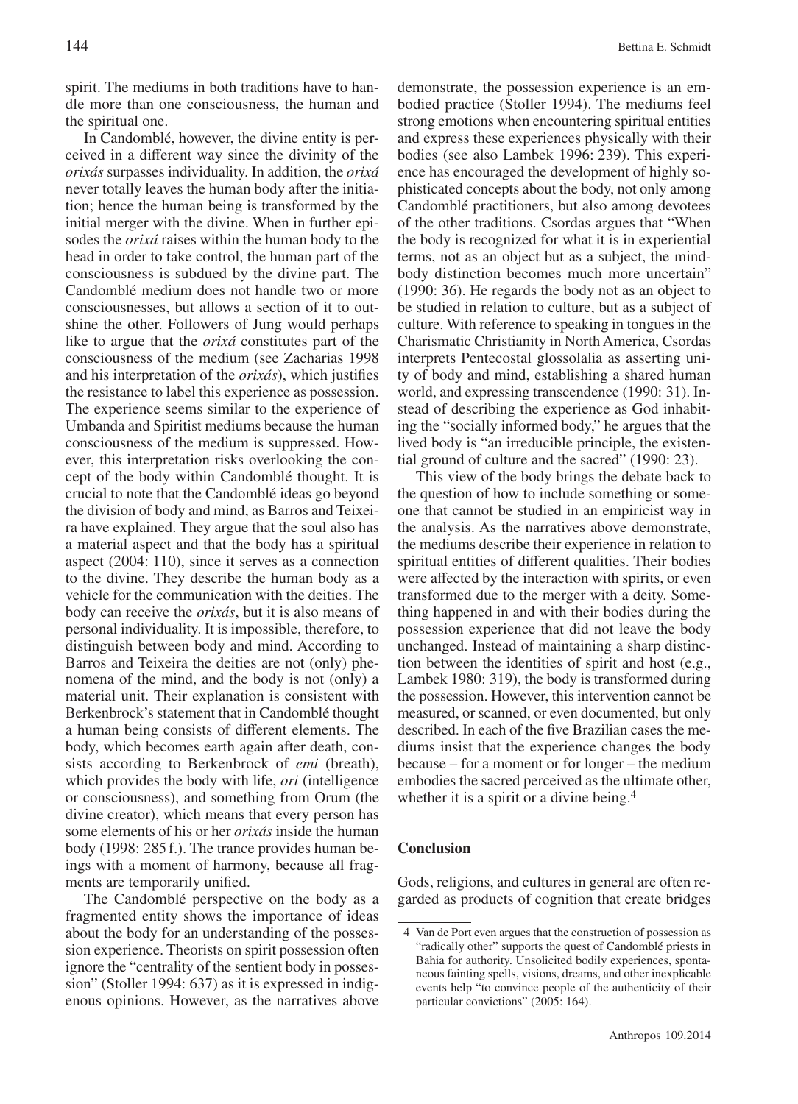spirit. The mediums in both traditions have to handle more than one consciousness, the human and the spiritual one.

In Candomblé, however, the divine entity is perceived in a different way since the divinity of the *orixás* surpasses individuality. In addition, the *orixá* never totally leaves the human body after the initiation; hence the human being is transformed by the initial merger with the divine. When in further episodes the *orixá* raises within the human body to the head in order to take control, the human part of the consciousness is subdued by the divine part. The Candomblé medium does not handle two or more consciousnesses, but allows a section of it to outshine the other. Followers of Jung would perhaps like to argue that the *orixá* constitutes part of the consciousness of the medium (see Zacharias 1998 and his interpretation of the *orixás*), which justifies the resistance to label this experience as possession. The experience seems similar to the experience of Umbanda and Spiritist mediums because the human consciousness of the medium is suppressed. However, this interpretation risks overlooking the concept of the body within Candomblé thought. It is crucial to note that the Candomblé ideas go beyond the division of body and mind, as Barros and Teixeira have explained. They argue that the soul also has a material aspect and that the body has a spiritual aspect (2004: 110), since it serves as a connection to the divine. They describe the human body as a vehicle for the communication with the deities. The body can receive the *orixás*, but it is also means of personal individuality. It is impossible, therefore, to distinguish between body and mind. According to Barros and Teixeira the deities are not (only) phenomena of the mind, and the body is not (only) a material unit. Their explanation is consistent with Berkenbrock's statement that in Candomblé thought a human being consists of different elements. The body, which becomes earth again after death, consists according to Berkenbrock of *emi* (breath), which provides the body with life, *ori* (intelligence or consciousness), and something from Orum (the divine creator), which means that every person has some elements of his or her *orixás* inside the human body (1998: 285f.). The trance provides human beings with a moment of harmony, because all fragments are temporarily unified.

The Candomblé perspective on the body as a fragmented entity shows the importance of ideas about the body for an understanding of the possession experience. Theorists on spirit possession often ignore the "centrality of the sentient body in possession" (Stoller 1994: 637) as it is expressed in indigenous opinions. However, as the narratives above

demonstrate, the possession experience is an embodied practice (Stoller 1994). The mediums feel strong emotions when encountering spiritual entities and express these experiences physically with their bodies (see also Lambek 1996: 239). This experience has encouraged the development of highly sophisticated concepts about the body, not only among Candomblé practitioners, but also among devotees of the other traditions. Csordas argues that "When the body is recognized for what it is in experiential terms, not as an object but as a subject, the mindbody distinction becomes much more uncertain" (1990: 36). He regards the body not as an object to be studied in relation to culture, but as a subject of culture. With reference to speaking in tongues in the Charismatic Christianity in North America, Csordas interprets Pentecostal glossolalia as asserting unity of body and mind, establishing a shared human world, and expressing transcendence (1990: 31). Instead of describing the experience as God inhabiting the "socially informed body," he argues that the lived body is "an irreducible principle, the existential ground of culture and the sacred" (1990: 23).

This view of the body brings the debate back to the question of how to include something or someone that cannot be studied in an empiricist way in the analysis. As the narratives above demonstrate, the mediums describe their experience in relation to spiritual entities of different qualities. Their bodies were affected by the interaction with spirits, or even transformed due to the merger with a deity. Something happened in and with their bodies during the possession experience that did not leave the body unchanged. Instead of maintaining a sharp distinction between the identities of spirit and host (e.g., Lambek 1980: 319), the body is transformed during the possession. However, this intervention cannot be measured, or scanned, or even documented, but only described. In each of the five Brazilian cases the mediums insist that the experience changes the body because – for a moment or for longer – the medium embodies the sacred perceived as the ultimate other, whether it is a spirit or a divine being.<sup>4</sup>

# **Conclusion**

Gods, religions, and cultures in general are often regarded as products of cognition that create bridges

<sup>4</sup> Van de Port even argues that the construction of possession as "radically other" supports the quest of Candomblé priests in Bahia for authority. Unsolicited bodily experiences, spontaneous fainting spells, visions, dreams, and other inexplicable events help "to convince people of the authenticity of their particular convictions" (2005: 164).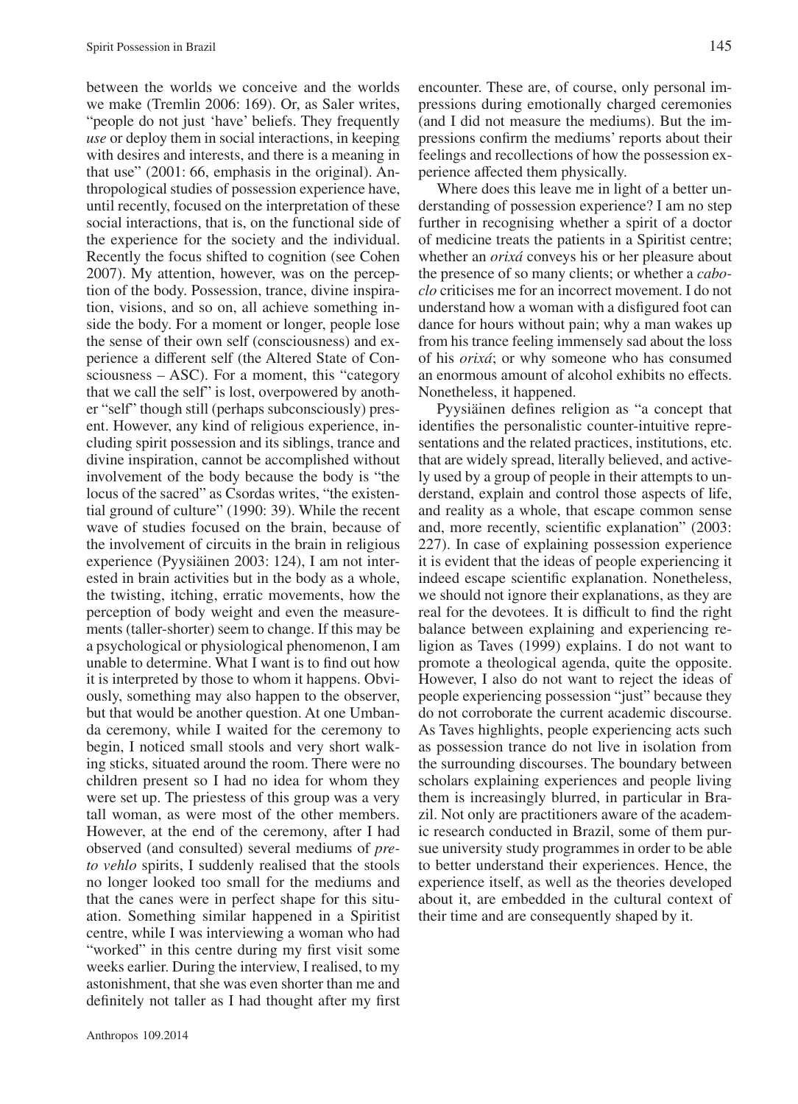between the worlds we conceive and the worlds we make (Tremlin 2006: 169). Or, as Saler writes, "people do not just 'have' beliefs. They frequently *use* or deploy them in social interactions, in keeping with desires and interests, and there is a meaning in that use" (2001: 66, emphasis in the original). Anthropological studies of possession experience have, until recently, focused on the interpretation of these social interactions, that is, on the functional side of the experience for the society and the individual. Recently the focus shifted to cognition (see Cohen 2007). My attention, however, was on the perception of the body. Possession, trance, divine inspiration, visions, and so on, all achieve something inside the body. For a moment or longer, people lose the sense of their own self (consciousness) and experience a different self (the Altered State of Consciousness – ASC). For a moment, this "category that we call the self" is lost, overpowered by another "self" though still (perhaps subconsciously) present. However, any kind of religious experience, including spirit possession and its siblings, trance and divine inspiration, cannot be accomplished without involvement of the body because the body is "the locus of the sacred" as Csordas writes, "the existential ground of culture" (1990: 39). While the recent wave of studies focused on the brain, because of the involvement of circuits in the brain in religious experience (Pyysiäinen 2003: 124), I am not interested in brain activities but in the body as a whole, the twisting, itching, erratic movements, how the perception of body weight and even the measurements (taller-shorter) seem to change. If this may be a psychological or physiological phenomenon, I am unable to determine. What I want is to find out how it is interpreted by those to whom it happens. Obviously, something may also happen to the observer, but that would be another question. At one Umbanda ceremony, while I waited for the ceremony to begin, I noticed small stools and very short walking sticks, situated around the room. There were no children present so I had no idea for whom they were set up. The priestess of this group was a very tall woman, as were most of the other members. However, at the end of the ceremony, after I had observed (and consulted) several mediums of *preto vehlo* spirits, I suddenly realised that the stools no longer looked too small for the mediums and that the canes were in perfect shape for this situation. Something similar happened in a Spiritist centre, while I was interviewing a woman who had "worked" in this centre during my first visit some weeks earlier. During the interview, I realised, to my astonishment, that she was even shorter than me and definitely not taller as I had thought after my first encounter. These are, of course, only personal impressions during emotionally charged ceremonies (and I did not measure the mediums). But the impressions confirm the mediums' reports about their feelings and recollections of how the possession experience affected them physically.

Where does this leave me in light of a better understanding of possession experience? I am no step further in recognising whether a spirit of a doctor of medicine treats the patients in a Spiritist centre; whether an *orixá* conveys his or her pleasure about the presence of so many clients; or whether a *caboclo* criticises me for an incorrect movement. I do not understand how a woman with a disfigured foot can dance for hours without pain; why a man wakes up from his trance feeling immensely sad about the loss of his *orixá*; or why someone who has consumed an enormous amount of alcohol exhibits no effects. Nonetheless, it happened.

Pyysiäinen defines religion as "a concept that identifies the personalistic counter-intuitive representations and the related practices, institutions, etc. that are widely spread, literally believed, and actively used by a group of people in their attempts to understand, explain and control those aspects of life, and reality as a whole, that escape common sense and, more recently, scientific explanation" (2003: 227). In case of explaining possession experience it is evident that the ideas of people experiencing it indeed escape scientific explanation. Nonetheless, we should not ignore their explanations, as they are real for the devotees. It is difficult to find the right balance between explaining and experiencing religion as Taves (1999) explains. I do not want to promote a theological agenda, quite the opposite. However, I also do not want to reject the ideas of people experiencing possession "just" because they do not corroborate the current academic discourse. As Taves highlights, people experiencing acts such as possession trance do not live in isolation from the surrounding discourses. The boundary between scholars explaining experiences and people living them is increasingly blurred, in particular in Brazil. Not only are practitioners aware of the academic research conducted in Brazil, some of them pursue university study programmes in order to be able to better understand their experiences. Hence, the experience itself, as well as the theories developed about it, are embedded in the cultural context of their time and are consequently shaped by it.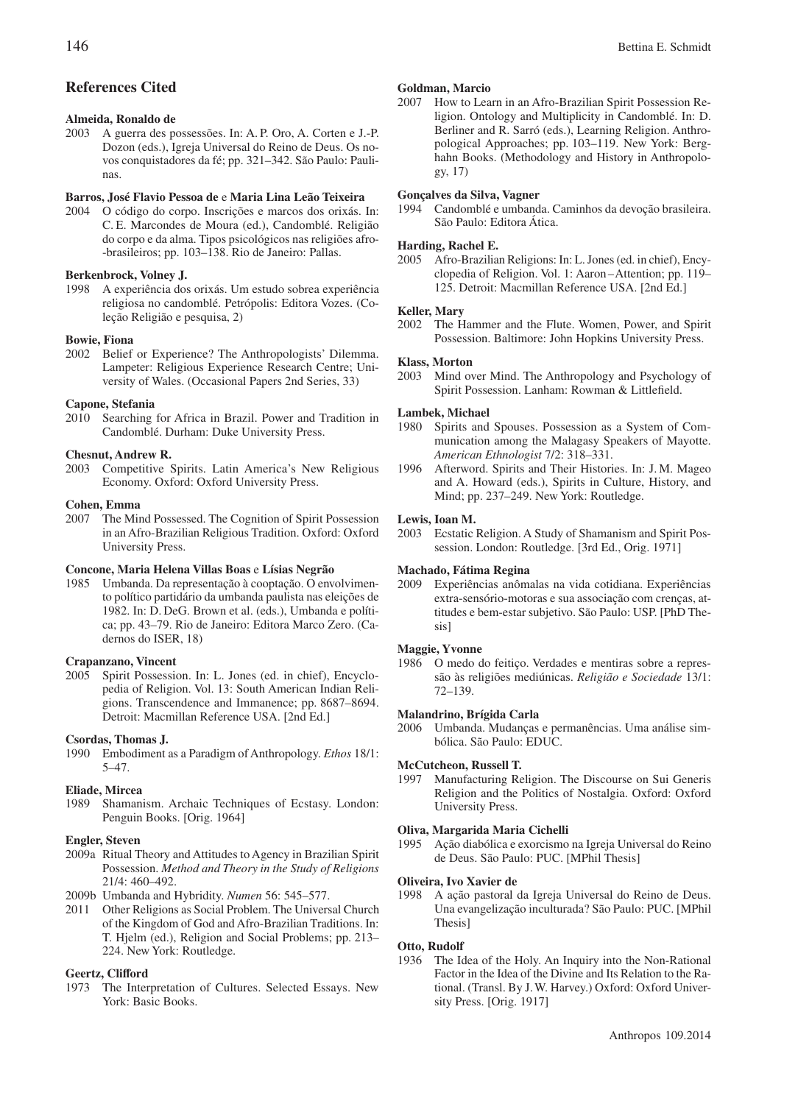# **References Cited**

### **Almeida, Ronaldo de**

2003 A guerra des possessões. In: A. P. Oro, A. Corten e J.-P. Dozon (eds.), Igreja Universal do Reino de Deus. Os novos conquistadores da fé; pp. 321–342. São Paulo: Paulinas.

#### **Barros, José Flavio Pessoa de** e **Maria Lina Leão Teixeira**

2004 O código do corpo. Inscrições e marcos dos orixás. In: C. E. Marcondes de Moura (ed.), Candomblé. Religião do corpo e da alma. Tipos psicológicos nas religiões afro- -brasileiros; pp. 103–138. Rio de Janeiro: Pallas.

#### **Berkenbrock, Volney J.**

1998 A experiência dos orixás. Um estudo sobrea experiência religiosa no candomblé. Petrópolis: Editora Vozes. (Coleção Religião e pesquisa, 2)

#### **Bowie, Fiona**

2002 Belief or Experience? The Anthropologists' Dilemma. Lampeter: Religious Experience Research Centre; University of Wales. (Occasional Papers 2nd Series, 33)

#### **Capone, Stefania**

2010 Searching for Africa in Brazil. Power and Tradition in Candomblé. Durham: Duke University Press.

#### **Chesnut, Andrew R.**

2003 Competitive Spirits. Latin America's New Religious Economy. Oxford: Oxford University Press.

#### **Cohen, Emma**

2007 The Mind Possessed. The Cognition of Spirit Possession in an Afro-Brazilian Religious Tradition. Oxford: Oxford University Press.

#### **Concone, Maria Helena Villas Boas** e **Lísias Negrão**

1985 Umbanda. Da representação à cooptação. O envolvimento político partidário da umbanda paulista nas eleições de 1982. In: D. DeG. Brown et al. (eds.), Umbanda e política; pp. 43–79. Rio de Janeiro: Editora Marco Zero. (Cadernos do ISER, 18)

#### **Crapanzano, Vincent**

2005 Spirit Possession. In: L. Jones (ed. in chief), Encyclopedia of Religion. Vol. 13: South American Indian Religions. Transcendence and Immanence; pp. 8687–8694. Detroit: Macmillan Reference USA. [2nd Ed.]

#### **Csordas, Thomas J.**

1990 Embodiment as a Paradigm of Anthropology. *Ethos* 18/1: 5–47.

#### **Eliade, Mircea**

1989 Shamanism. Archaic Techniques of Ecstasy. London: Penguin Books. [Orig. 1964]

#### **Engler, Steven**

- 2009a Ritual Theory and Attitudes to Agency in Brazilian Spirit Possession. *Method and Theory in the Study of Religions* 21/4: 460–492.
- 2009b Umbanda and Hybridity. *Numen* 56: 545–577.
- 2011 Other Religions as Social Problem. The Universal Church of the Kingdom of God and Afro-Brazilian Traditions. In: T. Hjelm (ed.), Religion and Social Problems; pp. 213– 224. New York: Routledge.

#### **Geertz, Clifford**

1973 The Interpretation of Cultures. Selected Essays. New York: Basic Books.

#### **Goldman, Marcio**

2007 How to Learn in an Afro-Brazilian Spirit Possession Religion. Ontology and Multiplicity in Candomblé. In: D. Berliner and R. Sarró (eds.), Learning Religion. Anthropological Approaches; pp. 103–119. New York: Berghahn Books. (Methodology and History in Anthropology, 17)

#### **Gonçalves da Silva, Vagner**

1994 Candomblé e umbanda. Caminhos da devoção brasileira. São Paulo: Editora Ática.

# **Harding, Rachel E.**

Afro-Brazilian Religions: In: L. Jones (ed. in chief), Encyclopedia of Religion. Vol. 1: Aaron –Attention; pp. 119– 125. Detroit: Macmillan Reference USA. [2nd Ed.]

# **Keller, Mary**<br>2002 The H

The Hammer and the Flute. Women, Power, and Spirit Possession. Baltimore: John Hopkins University Press.

# **Klass, Morton**<br>2003 Mind ov

Mind over Mind. The Anthropology and Psychology of Spirit Possession. Lanham: Rowman & Littlefield.

#### **Lambek, Michael**

- 1980 Spirits and Spouses. Possession as a System of Communication among the Malagasy Speakers of Mayotte. *American Ethnologist* 7/2: 318–331.
- 1996 Afterword. Spirits and Their Histories. In: J. M. Mageo and A. Howard (eds.), Spirits in Culture, History, and Mind; pp. 237–249. New York: Routledge.

#### **Lewis, Ioan M.**

2003 Ecstatic Religion. A Study of Shamanism and Spirit Possession. London: Routledge. [3rd Ed., Orig. 1971]

#### **Machado, Fátima Regina**

2009 Experiências anômalas na vida cotidiana. Experiências extra-sensório-motoras e sua associação com crenças, attitudes e bem-estar subjetivo. São Paulo: USP. [PhD Thesis]

#### **Maggie, Yvonne**

1986 O medo do feitiço. Verdades e mentiras sobre a repressão às religiões mediúnicas. *Religião e Sociedade* 13/1: 72–139.

#### **Malandrino, Brígida Carla**

2006 Umbanda. Mudanças e permanências. Uma análise simbólica. São Paulo: EDUC.

#### **McCutcheon, Russell T.**

1997 Manufacturing Religion. The Discourse on Sui Generis Religion and the Politics of Nostalgia. Oxford: Oxford University Press.

# **Oliva, Margarida Maria Cichelli**

1995 Ação diabólica e exorcismo na Igreja Universal do Reino de Deus. São Paulo: PUC. [MPhil Thesis]

#### **Oliveira, Ivo Xavier de**

1998 A ação pastoral da Igreja Universal do Reino de Deus. Una evangelização inculturada? São Paulo: PUC. [MPhil Thesis]

### **Otto, Rudolf**

1936 The Idea of the Holy. An Inquiry into the Non-Rational Factor in the Idea of the Divine and Its Relation to the Rational. (Transl. By J.W. Harvey.) Oxford: Oxford University Press. [Orig. 1917]